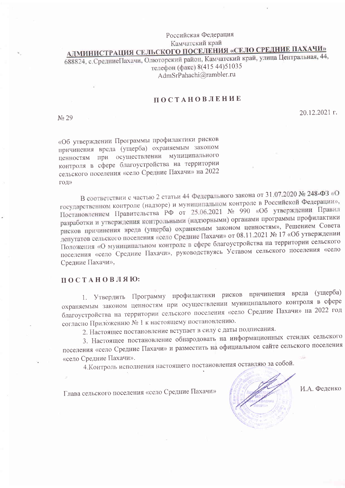### Российская Федерация Камчатский край

# <u>АДМИНИСТРАЦИЯ СЕЛЬСКОГО ПОСЕЛЕНИЯ «СЕЛО СРЕДНИЕ ПАХАЧИ»</u>

688824, с.СредниеПахачи, Олюторский район, Камчатский край, улица Центральная, 44, телефон (факс) 8(415 44)51035 AdmSrPahachi@rambler.ru

### ПОСТАНОВЛЕНИЕ

No 29

20.12.2021 г.

«Об утверждении Программы профилактики рисков причинения вреда (ущерба) охраняемым законом ценностям при осуществлении муниципального контроля в сфере благоустройства на территории сельского поселения «село Средние Пахачи» на 2022 год»

В соответствии с частью 2 статьи 44 Федерального закона от 31.07.2020 № 248-ФЗ «О государственном контроле (надзоре) и муниципальном контроле в Российской Федерации», Постановлением Правительства РФ от 25.06.2021 № 990 «Об утверждении Правил разработки и утверждения контрольными (надзорными) органами программы профилактики рисков причинения вреда (ущерба) охраняемым законом ценностям», Решением Совета депутатов сельского поселения «село Средние Пахачи» от 08.11.2021 № 17 «Об утверждении Положения «О муниципальном контроле в сфере благоустройства на территории сельского поселения «село Средние Пахачи», руководствуясь Уставом сельского поселения «село Средние Пахачи»,

#### ПОСТАНОВЛЯЮ:

1. Утвердить Программу профилактики рисков причинения вреда (ущерба) охраняемым законом ценностям при осуществлении муниципального контроля в сфере благоустройства на территории сельского поселения «село Средние Пахачи» на 2022 год согласно Приложению № 1 к настоящему постановлению.

2. Настоящее постановление вступает в силу с даты подписания.

3. Настоящее постановление обнародовать на информационных стендах сельского поселения «село Средние Пахачи» и разместить на официальном сайте сельского поселения «село Средние Пахачи».

4. Контроль исполнения настоящего постановления оставляю за собой.

Глава сельского поселения «село Средние Пахачи»

И.А. Феденко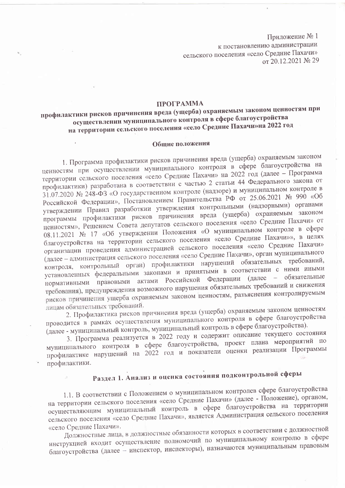Приложение № 1 к постановлению администрации сельского поселения «село Средние Пахачи» от 20.12.2021 № 29

#### ПРОГРАММА

## профилактики рисков причинения вреда (ущерба) охраняемым законом ценностям при осуществлении муниципального контроля в сфере благоустройства на территории сельского поселения «село Средние Пахачи»на 2022 год

#### Общие положения

1. Программа профилактики рисков причинения вреда (ущерба) охраняемым законом ценностям при осуществлении муниципального контроля в сфере благоустройства на территории сельского поселения «село Средние Пахачи» на 2022 год (далее - Программа профилактики) разработана в соответствии с частью 2 статьи 44 Федерального закона от 31.07.2020 № 248-ФЗ «О государственном контроле (надзоре) и муниципальном контроле в Российской Федерации», Постановлением Правительства РФ от 25.06.2021 № 990 «Об утверждении Правил разработкии утверждения контрольными (надзорными) органами программы профилактики рисков причинения вреда (ущерба) охраняемым законом ценностям», Решением Совета депутатов сельского поселения «село Средние Пахачи» от 08.11.2021 № 17 «Об утверждении Положения «О муниципальном контроле в сфере благоустройства на территории сельского поселения «село Средние Пахачи»», в целях организации проведения администрацией сельского поселения «село Средние Пахачи» (далее - администрация сельского поселения «село Средние Пахачи», орган муниципального контроля, контрольный орган) профилактики нарушений обязательных требований, установленных федеральными законами и принятыми в соответствии с ними иными нормативными правовыми актами Российской Федерации (далее - обязательные требования), предупреждения возможного нарушения обязательных требований и снижения рисков причинения ущерба охраняемым законом ценностям, разъяснения контролируемым лицам обязательных требований.

2. Профилактика рисков причинения вреда (ущерба) охраняемым законом ценностям проводится в рамках осуществления муниципального контроля в сфере благоустройства (далее - муниципальный контроль, муниципальный контроль в сфере благоустройства).

3. Программа реализуется в 2022 году и содержит описание текущего состояния муниципального контроля в сфере благоустройства, проект плана мероприятий по профилактике нарушений на 2022 год и показатели оценки реализации Программы профилактики.

# Раздел 1. Анализ и оценка состояния подконтрольной сферы

1.1. В соответствии с Положением о муниципальном контролев сфере благоустройства на территории сельского поселения «село Средние Пахачи» (далее - Положение), органом, осуществляющим муниципальный контроль в сфере благоустройства на территории сельского поселения «село Средние Пахачи», является Администрация сельского поселения «село Средние Пахачи».

Должностные лица, в должностные обязанности которых в соответствии с должностной инструкцией входит осуществление полномочий по муниципальному контролю в сфере благоустройства (далее - инспектор, инспекторы), назначаются муниципальным правовым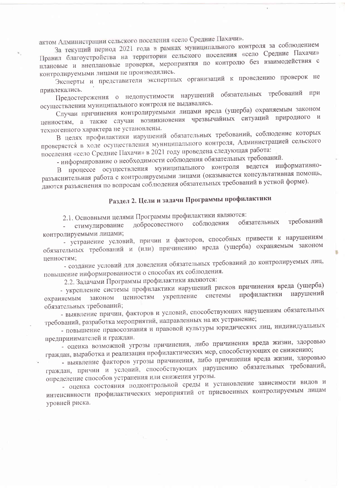актом Администрации сельского поселения «село Средние Пахачи».

За текущий период 2021 года в рамках муниципального контроля за соблюдением Правил благоустройства на территории сельского поселения «село Средние Пахачи» плановые и внеплановые проверки, мероприятия по контролю без взаимодействия с контролируемыми лицами не производились.

Эксперты и представители экспертных организаций к проведению проверок не привлекались.

Предостережения о недопустимости нарушений обязательных требований при осуществлении муниципального контроля не выдавались.

Случаи причинения контролируемыми лицами вреда (ущерба) охраняемым законом ценностям, а также случаи возникновения чрезвычайных ситуаций природного и техногенного характера не установлены.

В целях профилактики нарушений обязательных требований, соблюдение которых проверяется в ходе осуществления муниципального контроля, Администрацией сельского поселения «село Средние Пахачи» в 2021 году проведена следующая работа:

- информирование о необходимости соблюдения обязательных требований.

В процессе осуществления муниципального контроля ведется информативноразъяснительная работа с контролируемыми лицами (оказывается консультативная помощь, даются разъяснения по вопросам соблюдения обязательных требований в устной форме).

# Раздел 2. Цели и задачи Программы профилактики

2.1. Основными целями Программы профилактики являются:

требований обязательных соблюдения добросовестного стимулирование контролируемыми лицами;

- устранение условий, причин и факторов, способных привести к нарушениям обязательных требований и (или) причинению вреда (ущерба) охраняемым законом ненностям;

'n

- создание условий для доведения обязательных требований до контролируемых лиц, повышение информированности о способах их соблюдения.

2.2. Задачами Программы профилактики являются:

- укрепление системы профилактики нарушений рисков причинения вреда (ущерба) профилактики нарушений системы ценностям укрепление законом охраняемым обязательных требований;

- выявление причин, факторов и условий, способствующих нарушениям обязательных требований, разработка мероприятий, направленных на их устранение;

- повышение правосознания и правовой культуры юридических лиц, индивидуальных предпринимателей и граждан.

- оценка возможной угрозы причинения, либо причинения вреда жизни, здоровью граждан, выработка и реализация профилактических мер, способствующих ее снижению;

- выявление факторов угрозы причинения, либо причинения вреда жизни, здоровью граждан, причин и условий, способствующих нарушению обязательных требований, определение способов устранения или снижения угрозы.

- оценка состояния подконтрольной среды и установление зависимости видов и интенсивности профилактических мероприятий от присвоенных контролируемым лицам уровней риска.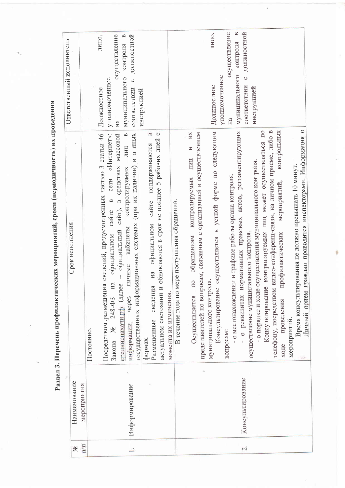Раздел З. Перечень профилактических мероприятий, сроки (периодичность) их проведения

|                                 |                  |                                                                                                                                                                                                                          | Ответственный исполнитель                                                               |
|---------------------------------|------------------|--------------------------------------------------------------------------------------------------------------------------------------------------------------------------------------------------------------------------|-----------------------------------------------------------------------------------------|
| ż                               | Наименование     | Срок исполнения                                                                                                                                                                                                          |                                                                                         |
| $\overline{\Pi}/\overline{\Pi}$ | мероприятия      |                                                                                                                                                                                                                          |                                                                                         |
|                                 |                  | Постоянно.                                                                                                                                                                                                               |                                                                                         |
|                                 |                  | сведений, предусмотренных частью 3 статьи 46<br>«Интернет»:<br>сети<br>$\mathbf{r}$<br>сайте<br>официальном<br>Посредством размещения<br>Закона № $248-$ ФЗ на                                                           | лицо,<br>осуществление<br>уполномоченное<br>Должностное                                 |
|                                 | Информирование   | $\approx$<br>государственных информационных системах (при их наличии) и в иных<br>официальный сайт), в средствах массовой<br>лиц<br>контролируемых<br>кабинеты<br>через пичные<br>средниепахачи.рф (далее<br>информации, | $\approx$<br>должностной<br>контроля<br>муниципального<br>$\circ$<br>соответствии<br>Ha |
|                                 |                  | обновляются в срок не позднее 5 рабочих дней с<br>B<br>поддерживаются<br>caйте<br>официальном<br>Ha<br>актуальном состоянии и<br>сведения<br>момента их изменения.<br>Размещенные<br>формах.                             | инструкцией                                                                             |
|                                 |                  | В течение года по мере поступления обращений.                                                                                                                                                                            |                                                                                         |
|                                 |                  | ИX<br>представителей по вопросам, связанным с организацией и осуществлением<br>И<br>лиц<br>контролируемых<br>обращениям<br>$\overline{10}$<br>Осуществляется                                                             |                                                                                         |
|                                 |                  | осуществляется в устной форме по следующим<br>муниципального контроля<br>Консультирование                                                                                                                                | лицо,<br>Должностное                                                                    |
|                                 |                  | - о местонахождении и графике работы органа контроля,<br>вопросам:                                                                                                                                                       | $\approx$<br>осуществление<br>уполномоченное<br>Ha                                      |
| $\mathcal{L}$                   | Консультирование | - о реквизитах нормативных правовых актов, регламентирующих                                                                                                                                                              | должностной<br>муниципального контроля<br>$\circ$<br>соответствии                       |
|                                 |                  | - о порядке и ходе осуществления муниципального контроля.<br>осуществление муниципального контроля,                                                                                                                      | инструкцией                                                                             |
|                                 |                  | телефону, посредством видео-конференц-связи, на личном приеме, либо в<br>контролируемых лиц может осуществляться по<br>Консультирование                                                                                  |                                                                                         |
|                                 |                  | контрольных<br>мероприятий,<br>профилактических<br>проведения<br>ходе                                                                                                                                                    |                                                                                         |
|                                 |                  | мероприятий.                                                                                                                                                                                                             |                                                                                         |
|                                 |                  | Личный прием граждан проводится инспекторами. Информация о<br>Время консультирования не должно превышать 10 минут.                                                                                                       |                                                                                         |
|                                 |                  |                                                                                                                                                                                                                          |                                                                                         |

6

 $\epsilon$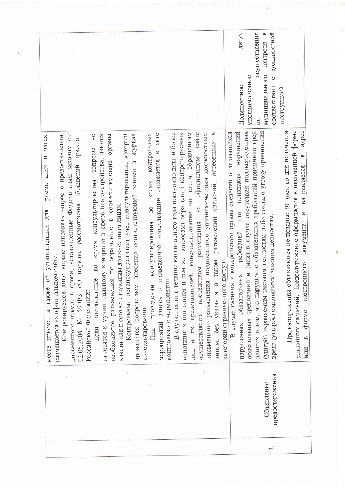|                                                                                                                                                                                                                                                                                                                                                                                                                                                                                                                                                                                                                                                                                                                                                                                                                                                                                                                                                                                                                                                                                                                                                                                                                                                                                                                                                                                                                                                                                                                                                                | осуществление<br>മ<br>должностной<br>лицо,<br>контроля<br>муниципального<br>уполномоченное<br>$\circ$<br>Должностное<br>соответствии<br>инструкцией<br>Ha                                                                                                                                                                                                                                                                                                                                                                                                                                                                                                                                                          |
|----------------------------------------------------------------------------------------------------------------------------------------------------------------------------------------------------------------------------------------------------------------------------------------------------------------------------------------------------------------------------------------------------------------------------------------------------------------------------------------------------------------------------------------------------------------------------------------------------------------------------------------------------------------------------------------------------------------------------------------------------------------------------------------------------------------------------------------------------------------------------------------------------------------------------------------------------------------------------------------------------------------------------------------------------------------------------------------------------------------------------------------------------------------------------------------------------------------------------------------------------------------------------------------------------------------------------------------------------------------------------------------------------------------------------------------------------------------------------------------------------------------------------------------------------------------|--------------------------------------------------------------------------------------------------------------------------------------------------------------------------------------------------------------------------------------------------------------------------------------------------------------------------------------------------------------------------------------------------------------------------------------------------------------------------------------------------------------------------------------------------------------------------------------------------------------------------------------------------------------------------------------------------------------------|
| $\Join$<br>сайте<br>письменного разъяснения, подписанного уполномоченным должностным<br>В случае, если в течение календарного года поступило пять и более<br>консультирование по таким обращениям<br>и тем же вопросам) обращений контролируемых<br>akTe<br>Контрольный органосуществляет учет консультирований, который<br>журнал<br>контрольных<br>органы<br>H <sup>c</sup><br>относятся к муниципальному контролю в сфере благоустройства, даются<br>$\overline{C}$<br>Контролируемое лицо вправе направить запрос о предоставлении<br>граждан<br>часах<br>отнесенных<br>письменного ответа в сроки, установленные Федеральным законом<br>вопросы<br>$\mathbf{r}$<br>И<br>на официальном<br>необходимые разъяснения по обращению в соответствующие<br>отражается<br>$\mathbb{Z}$<br>рассмотрения обращений<br>ДНЯХ<br>записи<br>консультирования<br>время<br>сведений,<br>приема<br>внесения соответствующей<br>консультации<br>власти или к соответствующим должностным лицам.<br>$_{\rm B0}$<br>ДЛЯ<br>разъяснении<br>размещения<br>консультирования<br>установленных<br>время<br>проведенной<br>«О порядке<br>размещается на официальном сайте.<br>в таком<br>B <sub>0</sub><br>осуществляется посредством<br>представителей,<br>$\overline{00}$<br>Если поставленные<br>контрольного мероприятия<br>проводится посредством<br>проведении<br>а также<br>Российской Федерации».<br>$\circ$<br>однотипных (по одним<br>лицом, без указания<br>$02.05.2006$ No 59- $\Phi$ 3<br>запись<br>консультирования.<br>месте приема,<br>мероприятий<br>и и их<br>При | форме<br>адрес<br>Предостережения объявляются не позднее 30 дней со дня получения<br>нарушений<br>данных о том, что нарушение обязательных требований причинило вред<br>(ущерб) охраняемым законом ценностям либо создало угрозу причинения<br>обязательных гребований и (или) в случае отсутствия подтвержденных<br>В случае наличия у контрольного органа сведений о готовящихся<br>указанных сведений. Предостережение оформляется в письменной<br>$\mathbf{p}$<br>направляется<br>признаках<br>ИЛИ<br>$\overline{M}$<br>вреда (ущерба) охраняемым законом ценностям<br>документа<br>требований<br>категории ограниченного доступа<br>электронного<br>нарушениях обязательных<br>форме<br>$\mathfrak{a}$<br>ИЛИ |
|                                                                                                                                                                                                                                                                                                                                                                                                                                                                                                                                                                                                                                                                                                                                                                                                                                                                                                                                                                                                                                                                                                                                                                                                                                                                                                                                                                                                                                                                                                                                                                | предостережения<br>Объявление                                                                                                                                                                                                                                                                                                                                                                                                                                                                                                                                                                                                                                                                                      |
|                                                                                                                                                                                                                                                                                                                                                                                                                                                                                                                                                                                                                                                                                                                                                                                                                                                                                                                                                                                                                                                                                                                                                                                                                                                                                                                                                                                                                                                                                                                                                                | $\tilde{\mathfrak{c}}$                                                                                                                                                                                                                                                                                                                                                                                                                                                                                                                                                                                                                                                                                             |

 $\sim$ 

ä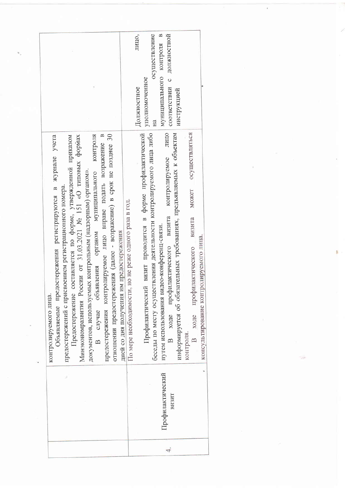|                                                                                                                                                                                                                                                                                                                                                                                                                                                                                                                                                        | осуществление<br>должностной<br>муниципального контроля в<br>лицо,<br>соответствии с<br>уполномоченное<br>Должностное<br>инструкцией<br>Ha                                                                                                                                                                                                                                                                                                                                                                                                                          |
|--------------------------------------------------------------------------------------------------------------------------------------------------------------------------------------------------------------------------------------------------------------------------------------------------------------------------------------------------------------------------------------------------------------------------------------------------------------------------------------------------------------------------------------------------------|---------------------------------------------------------------------------------------------------------------------------------------------------------------------------------------------------------------------------------------------------------------------------------------------------------------------------------------------------------------------------------------------------------------------------------------------------------------------------------------------------------------------------------------------------------------------|
| отношении предостережения (далее - возражение) в срок не позднее 30<br>контроля<br>предостережения контролируемое лицо вправе подать возражение в<br>составляется по форме, утвержденной приказом<br>Объявляемые предостережения регистрируются в журнале учета<br>Минэкономразвития России от 31.03.2021 № 151 «О типовых формах<br>органом муниципального<br>документов, используемых контрольным (надзорным) органом».<br>предостережений с присвоением регистрационного номера.<br>В случае объявления<br>контролируемого лица.<br>Предостережение | Профилактический визит проводится в форме профилактической<br>опиц<br>беседы по месту осуществления деятельности контролируемого лица либо<br>информируется об обязательных требованиях, предъявляемых к объектам<br>осуществляться<br>контролируемое<br>MOKCT<br>По мере необходимости, но не реже одного раза в год.<br>визита<br>визита<br>путем использования видео-конференц-связи.<br>дней со дня получения им предостережения<br>консультирование контролируемого лица.<br>ходе профилактического<br>В ходе профилактического<br>контроля.<br>$\overline{B}$ |
|                                                                                                                                                                                                                                                                                                                                                                                                                                                                                                                                                        | Профилактический<br>визит                                                                                                                                                                                                                                                                                                                                                                                                                                                                                                                                           |
|                                                                                                                                                                                                                                                                                                                                                                                                                                                                                                                                                        | 4.                                                                                                                                                                                                                                                                                                                                                                                                                                                                                                                                                                  |